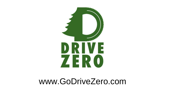

## www.GoDriveZero.com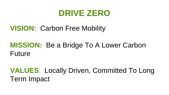#### **DRIVE ZERO**

#### **VISION:** Carbon Free Mobility

#### **MISSION:** Be a Bridge To A Lower Carbon Future

#### **VALUES**: Locally Driven, Committed To Long Term Impact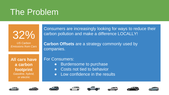## The Problem

32%

*US Carbon Emissions from Cars* Consumers are increasingly looking for ways to reduce their carbon pollution and make a difference LOCALLY!

**Carbon Offsets** are a strategy commonly used by companies.

**All cars have a carbon footprint** *Gasoline, hybrid, or electric*

For Consumers:

- Burdensome to purchase
- Costs not tied to behavior
- Low confidence in the results















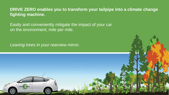**DRIVE ZERO enables you to transform your tailpipe into a climate change fighting machine.**

Easily and conveniently mitigate the impact of your car on the environment, mile per mile.

*Leaving trees in your rearview mirror.*

DRIVE ZERO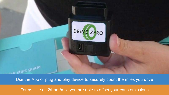

Use the App or plug and play device to securely count the miles you drive

For as little as 2¢ per/mile you are able to offset your car's emissions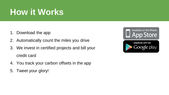# **How it Works**

- 1. Download the app
- 2. Automatically count the miles you drive
- 3. We invest in certified projects and bill your credit card
- 4. You track your carbon offsets in the app
- 5. Tweet your glory!

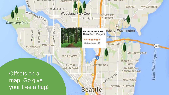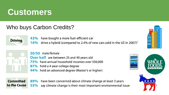## **Customers**

#### Who buys Carbon Credits?



have bought a more fuel-efficient car 43%

drive a hybrid (compared to 2.4% of new cars sold in the US in 2007)<sup>2</sup> 16%



50/50 male/female **Over half** are between 25 and 40 years old 75% have annual household incomes over \$50,000 87% hold a 4-year college degree 44% hold an advanced degree (Master's or higher)





have been concerned about climate change at least 3 years 89% 55% say climate change is their most important environmental issue

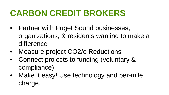# **CARBON CREDIT BROKERS**

- Partner with Puget Sound businesses, organizations, & residents wanting to make a difference
- Measure project CO2/e Reductions
- Connect projects to funding (voluntary & compliance)
- Make it easy! Use technology and per-mile charge.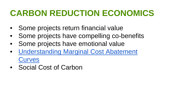# **CARBON REDUCTION ECONOMICS**

- Some projects return financial value
- Some projects have compelling co-benefits
- Some projects have emotional value
- [Understanding Marginal Cost Abatement](http://planwashington.org/blog/archive/understanding-carbon-reduction-marginal-abatement-cost-curves/)  **Curves**
- Social Cost of Carbon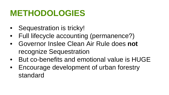# **METHODOLOGIES**

- Sequestration is tricky!
- Full lifecycle accounting (permanence?)
- Governor Inslee Clean Air Rule does **not** recognize Sequestration
- But co-benefits and emotional value is HUGE
- Encourage development of urban forestry standard